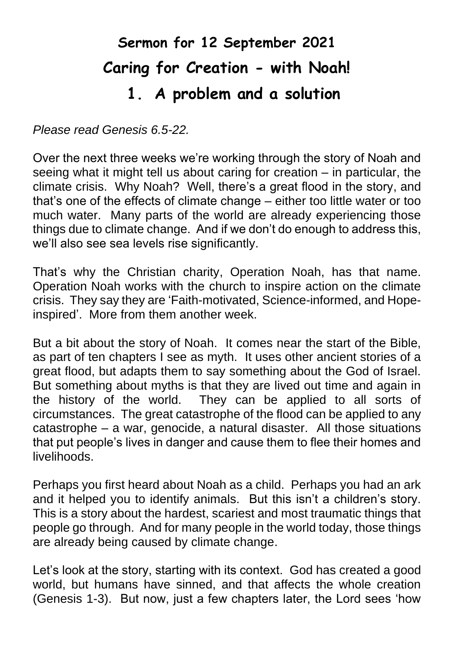## **Sermon for 12 September 2021 Caring for Creation - with Noah! 1. A problem and a solution**

*Please read Genesis 6.5-22.*

Over the next three weeks we're working through the story of Noah and seeing what it might tell us about caring for creation – in particular, the climate crisis. Why Noah? Well, there's a great flood in the story, and that's one of the effects of climate change – either too little water or too much water. Many parts of the world are already experiencing those things due to climate change. And if we don't do enough to address this, we'll also see sea levels rise significantly.

That's why the Christian charity, Operation Noah, has that name. Operation Noah works with the church to inspire action on the climate crisis. They say they are 'Faith-motivated, Science-informed, and Hopeinspired'.More from them another week.

But a bit about the story of Noah. It comes near the start of the Bible, as part of ten chapters I see as myth. It uses other ancient stories of a great flood, but adapts them to say something about the God of Israel. But something about myths is that they are lived out time and again in the history of the world. They can be applied to all sorts of circumstances. The great catastrophe of the flood can be applied to any catastrophe – a war, genocide, a natural disaster. All those situations that put people's lives in danger and cause them to flee their homes and livelihoods.

Perhaps you first heard about Noah as a child. Perhaps you had an ark and it helped you to identify animals. But this isn't a children's story. This is a story about the hardest, scariest and most traumatic things that people go through. And for many people in the world today, those things are already being caused by climate change.

Let's look at the story, starting with its context. God has created a good world, but humans have sinned, and that affects the whole creation (Genesis 1-3). But now, just a few chapters later, the Lord sees 'how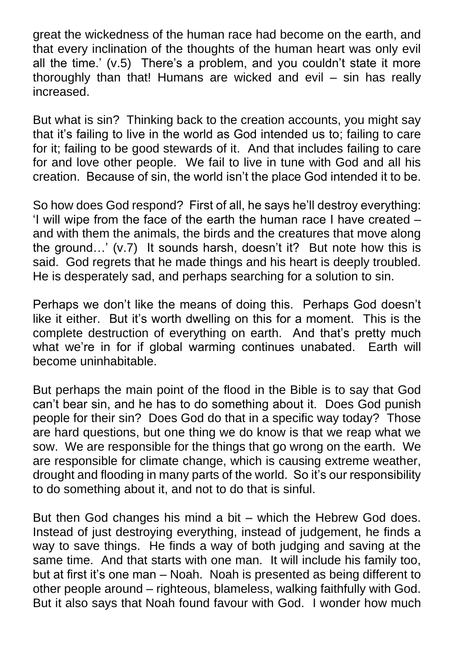great the wickedness of the human race had become on the earth, and that every inclination of the thoughts of the human heart was only evil all the time.' (v.5) There's a problem, and you couldn't state it more thoroughly than that! Humans are wicked and evil – sin has really increased.

But what is sin? Thinking back to the creation accounts, you might say that it's failing to live in the world as God intended us to; failing to care for it; failing to be good stewards of it. And that includes failing to care for and love other people. We fail to live in tune with God and all his creation. Because of sin, the world isn't the place God intended it to be.

So how does God respond? First of all, he says he'll destroy everything: 'I will wipe from the face of the earth the human race I have created – and with them the animals, the birds and the creatures that move along the ground…' (v.7) It sounds harsh, doesn't it? But note how this is said. God regrets that he made things and his heart is deeply troubled. He is desperately sad, and perhaps searching for a solution to sin.

Perhaps we don't like the means of doing this. Perhaps God doesn't like it either. But it's worth dwelling on this for a moment. This is the complete destruction of everything on earth. And that's pretty much what we're in for if global warming continues unabated. Earth will become uninhabitable.

But perhaps the main point of the flood in the Bible is to say that God can't bear sin, and he has to do something about it. Does God punish people for their sin? Does God do that in a specific way today? Those are hard questions, but one thing we do know is that we reap what we sow. We are responsible for the things that go wrong on the earth. We are responsible for climate change, which is causing extreme weather, drought and flooding in many parts of the world. So it's our responsibility to do something about it, and not to do that is sinful.

But then God changes his mind a bit – which the Hebrew God does. Instead of just destroying everything, instead of judgement, he finds a way to save things. He finds a way of both judging and saving at the same time. And that starts with one man. It will include his family too, but at first it's one man – Noah. Noah is presented as being different to other people around – righteous, blameless, walking faithfully with God. But it also says that Noah found favour with God. I wonder how much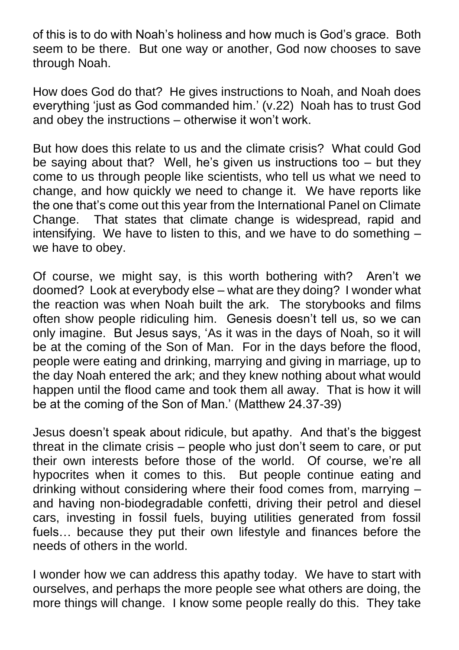of this is to do with Noah's holiness and how much is God's grace. Both seem to be there. But one way or another, God now chooses to save through Noah.

How does God do that? He gives instructions to Noah, and Noah does everything 'just as God commanded him.' (v.22) Noah has to trust God and obey the instructions – otherwise it won't work.

But how does this relate to us and the climate crisis? What could God be saying about that? Well, he's given us instructions too  $-$  but they come to us through people like scientists, who tell us what we need to change, and how quickly we need to change it. We have reports like the one that's come out this year from the International Panel on Climate Change. That states that climate change is widespread, rapid and intensifying. We have to listen to this, and we have to do something – we have to obey.

Of course, we might say, is this worth bothering with? Aren't we doomed? Look at everybody else – what are they doing? I wonder what the reaction was when Noah built the ark. The storybooks and films often show people ridiculing him. Genesis doesn't tell us, so we can only imagine. But Jesus says, 'As it was in the days of Noah, so it will be at the coming of the Son of Man. For in the days before the flood, people were eating and drinking, marrying and giving in marriage, up to the day Noah entered the ark; and they knew nothing about what would happen until the flood came and took them all away. That is how it will be at the coming of the Son of Man.' (Matthew 24.37-39)

Jesus doesn't speak about ridicule, but apathy. And that's the biggest threat in the climate crisis – people who just don't seem to care, or put their own interests before those of the world. Of course, we're all hypocrites when it comes to this. But people continue eating and drinking without considering where their food comes from, marrying – and having non-biodegradable confetti, driving their petrol and diesel cars, investing in fossil fuels, buying utilities generated from fossil fuels… because they put their own lifestyle and finances before the needs of others in the world.

I wonder how we can address this apathy today. We have to start with ourselves, and perhaps the more people see what others are doing, the more things will change. I know some people really do this. They take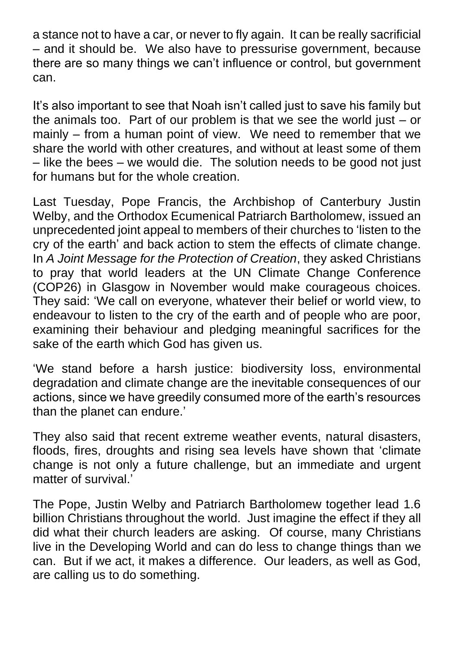a stance not to have a car, or never to fly again. It can be really sacrificial – and it should be. We also have to pressurise government, because there are so many things we can't influence or control, but government can.

It's also important to see that Noah isn't called just to save his family but the animals too. Part of our problem is that we see the world just  $-$  or mainly – from a human point of view. We need to remember that we share the world with other creatures, and without at least some of them – like the bees – we would die. The solution needs to be good not just for humans but for the whole creation.

Last Tuesday, Pope Francis, the Archbishop of Canterbury Justin Welby, and the Orthodox Ecumenical Patriarch Bartholomew, issued an unprecedented joint appeal to members of their churches to 'listen to the cry of the earth' and back action to stem the effects of climate change. In *A Joint Message for the Protection of Creation*, they asked Christians to pray that world leaders at the UN Climate Change Conference (COP26) in Glasgow in November would make courageous choices. They said: 'We call on everyone, whatever their belief or world view, to endeavour to listen to the cry of the earth and of people who are poor, examining their behaviour and pledging meaningful sacrifices for the sake of the earth which God has given us.

'We stand before a harsh justice: biodiversity loss, environmental degradation and climate change are the inevitable consequences of our actions, since we have greedily consumed more of the earth's resources than the planet can endure.'

They also said that recent extreme weather events, natural disasters, floods, fires, droughts and rising sea levels have shown that 'climate change is not only a future challenge, but an immediate and urgent matter of survival.'

The Pope, Justin Welby and Patriarch Bartholomew together lead 1.6 billion Christians throughout the world. Just imagine the effect if they all did what their church leaders are asking. Of course, many Christians live in the Developing World and can do less to change things than we can. But if we act, it makes a difference. Our leaders, as well as God, are calling us to do something.